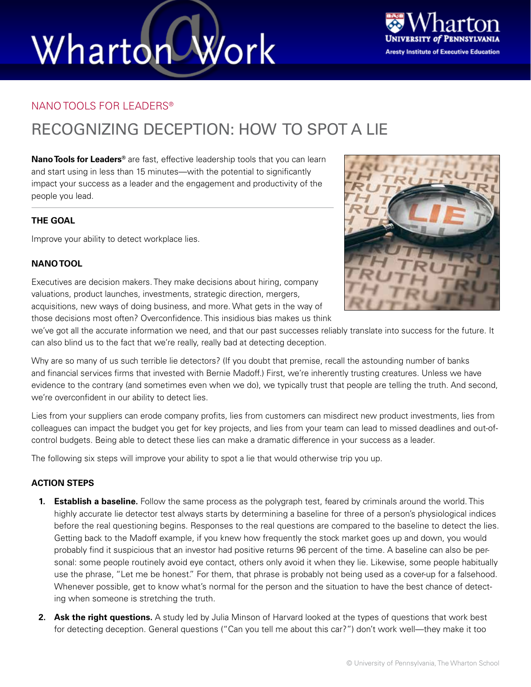# Wharton Work



### NANO TOOLS FOR LEADERS®

### RECOGNIZING DECEPTION: HOW TO SPOT A LIE

**Nano Tools for Leaders®** are fast, effective leadership tools that you can learn and start using in less than 15 minutes—with the potential to significantly impact your success as a leader and the engagement and productivity of the people you lead.

#### **THE GOAL**

Improve your ability to detect workplace lies.

#### **NANO TOOL**

Executives are decision makers. They make decisions about hiring, company valuations, product launches, investments, strategic direction, mergers, acquisitions, new ways of doing business, and more. What gets in the way of those decisions most often? Overconfidence. This insidious bias makes us think

we've got all the accurate information we need, and that our past successes reliably translate into success for the future. It can also blind us to the fact that we're really, really bad at detecting deception.

Why are so many of us such terrible lie detectors? (If you doubt that premise, recall the astounding number of banks and financial services firms that invested with Bernie Madoff.) First, we're inherently trusting creatures. Unless we have evidence to the contrary (and sometimes even when we do), we typically trust that people are telling the truth. And second, we're overconfident in our ability to detect lies.

Lies from your suppliers can erode company profits, lies from customers can misdirect new product investments, lies from colleagues can impact the budget you get for key projects, and lies from your team can lead to missed deadlines and out-ofcontrol budgets. Being able to detect these lies can make a dramatic difference in your success as a leader.

The following six steps will improve your ability to spot a lie that would otherwise trip you up.

#### **ACTION STEPS**

- **1. Establish a baseline.** Follow the same process as the polygraph test, feared by criminals around the world. This highly accurate lie detector test always starts by determining a baseline for three of a person's physiological indices before the real questioning begins. Responses to the real questions are compared to the baseline to detect the lies. Getting back to the Madoff example, if you knew how frequently the stock market goes up and down, you would probably find it suspicious that an investor had positive returns 96 percent of the time. A baseline can also be personal: some people routinely avoid eye contact, others only avoid it when they lie. Likewise, some people habitually use the phrase, "Let me be honest." For them, that phrase is probably not being used as a cover-up for a falsehood. Whenever possible, get to know what's normal for the person and the situation to have the best chance of detecting when someone is stretching the truth.
- **2. Ask the right questions.** A study led by Julia Minson of Harvard looked at the types of questions that work best for detecting deception. General questions ("Can you tell me about this car?") don't work well—they make it too

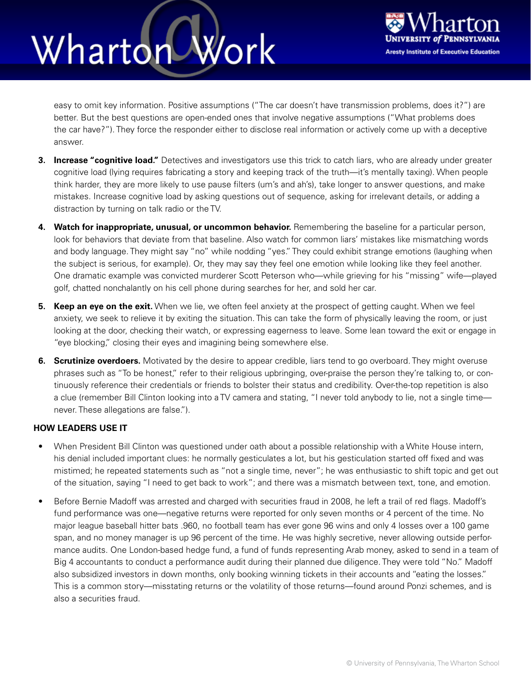### Wharton Work



easy to omit key information. Positive assumptions ("The car doesn't have transmission problems, does it?") are better. But the best questions are open-ended ones that involve negative assumptions ("What problems does the car have?"). They force the responder either to disclose real information or actively come up with a deceptive answer.

- **3. Increase "cognitive load."** Detectives and investigators use this trick to catch liars, who are already under greater cognitive load (lying requires fabricating a story and keeping track of the truth—it's mentally taxing). When people think harder, they are more likely to use pause filters (um's and ah's), take longer to answer questions, and make mistakes. Increase cognitive load by asking questions out of sequence, asking for irrelevant details, or adding a distraction by turning on talk radio or the TV.
- **4. Watch for inappropriate, unusual, or uncommon behavior.** Remembering the baseline for a particular person, look for behaviors that deviate from that baseline. Also watch for common liars' mistakes like mismatching words and body language. They might say "no" while nodding "yes." They could exhibit strange emotions (laughing when the subject is serious, for example). Or, they may say they feel one emotion while looking like they feel another. One dramatic example was convicted murderer Scott Peterson who—while grieving for his "missing" wife—played golf, chatted nonchalantly on his cell phone during searches for her, and sold her car.
- **5. Keep an eye on the exit.** When we lie, we often feel anxiety at the prospect of getting caught. When we feel anxiety, we seek to relieve it by exiting the situation. This can take the form of physically leaving the room, or just looking at the door, checking their watch, or expressing eagerness to leave. Some lean toward the exit or engage in "eye blocking," closing their eyes and imagining being somewhere else.
- **6. Scrutinize overdoers.** Motivated by the desire to appear credible, liars tend to go overboard. They might overuse phrases such as "To be honest," refer to their religious upbringing, over-praise the person they're talking to, or continuously reference their credentials or friends to bolster their status and credibility. Over-the-top repetition is also a clue (remember Bill Clinton looking into a TV camera and stating, "I never told anybody to lie, not a single time never. These allegations are false.").

#### **HOW LEADERS USE IT**

- When President Bill Clinton was questioned under oath about a possible relationship with a White House intern, his denial included important clues: he normally gesticulates a lot, but his gesticulation started off fixed and was mistimed; he repeated statements such as "not a single time, never"; he was enthusiastic to shift topic and get out of the situation, saying "I need to get back to work"; and there was a mismatch between text, tone, and emotion.
- Before Bernie Madoff was arrested and charged with securities fraud in 2008, he left a trail of red flags. Madoff's fund performance was one—negative returns were reported for only seven months or 4 percent of the time. No major league baseball hitter bats .960, no football team has ever gone 96 wins and only 4 losses over a 100 game span, and no money manager is up 96 percent of the time. He was highly secretive, never allowing outside performance audits. One London-based hedge fund, a fund of funds representing Arab money, asked to send in a team of Big 4 accountants to conduct a performance audit during their planned due diligence. They were told "No." Madoff also subsidized investors in down months, only booking winning tickets in their accounts and "eating the losses." This is a common story—misstating returns or the volatility of those returns—found around Ponzi schemes, and is also a securities fraud.